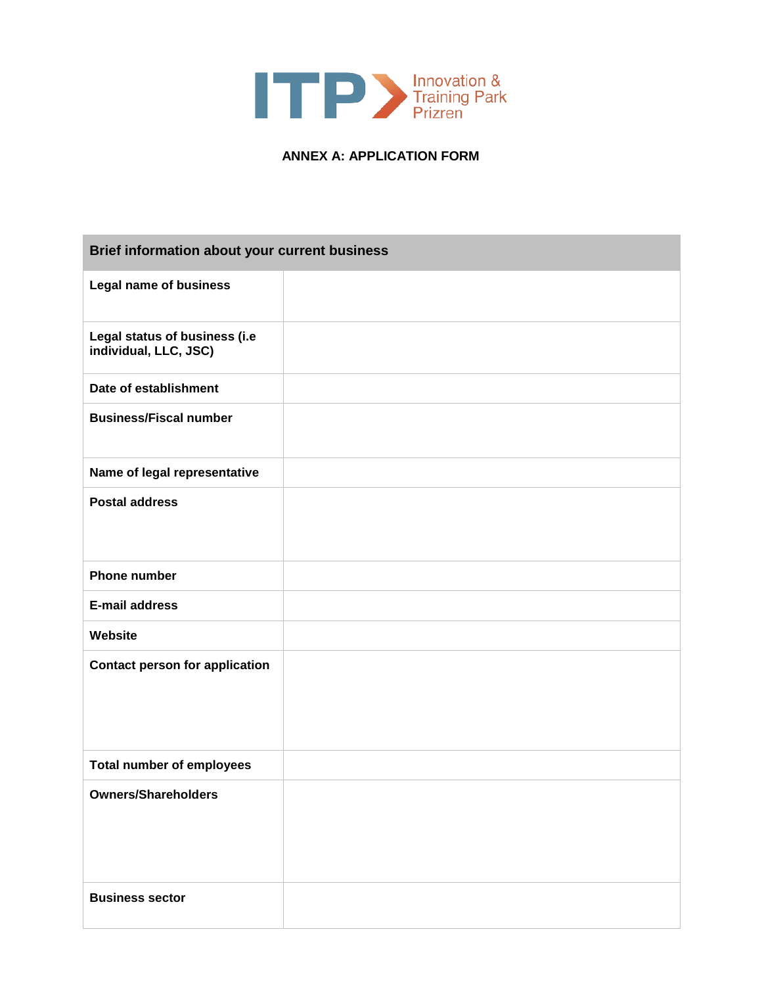

## **ANNEX A: APPLICATION FORM**

| Brief information about your current business          |  |
|--------------------------------------------------------|--|
| <b>Legal name of business</b>                          |  |
| Legal status of business (i.e<br>individual, LLC, JSC) |  |
| Date of establishment                                  |  |
| <b>Business/Fiscal number</b>                          |  |
| Name of legal representative                           |  |
| <b>Postal address</b>                                  |  |
| <b>Phone number</b>                                    |  |
| <b>E-mail address</b>                                  |  |
| Website                                                |  |
| <b>Contact person for application</b>                  |  |
| <b>Total number of employees</b>                       |  |
| <b>Owners/Shareholders</b>                             |  |
| <b>Business sector</b>                                 |  |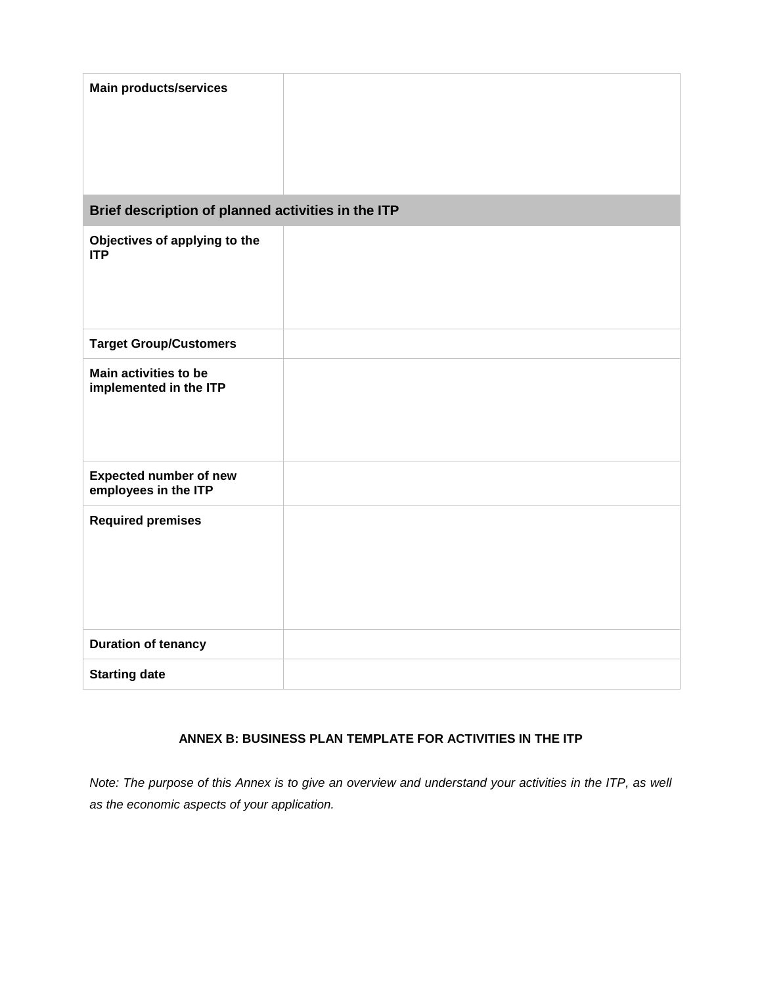| <b>Main products/services</b>                         |  |
|-------------------------------------------------------|--|
| Brief description of planned activities in the ITP    |  |
| Objectives of applying to the<br><b>ITP</b>           |  |
| <b>Target Group/Customers</b>                         |  |
| Main activities to be<br>implemented in the ITP       |  |
| <b>Expected number of new</b><br>employees in the ITP |  |
| <b>Required premises</b>                              |  |
| <b>Duration of tenancy</b>                            |  |
| <b>Starting date</b>                                  |  |

## **ANNEX B: BUSINESS PLAN TEMPLATE FOR ACTIVITIES IN THE ITP**

*Note: The purpose of this Annex is to give an overview and understand your activities in the ITP, as well as the economic aspects of your application.*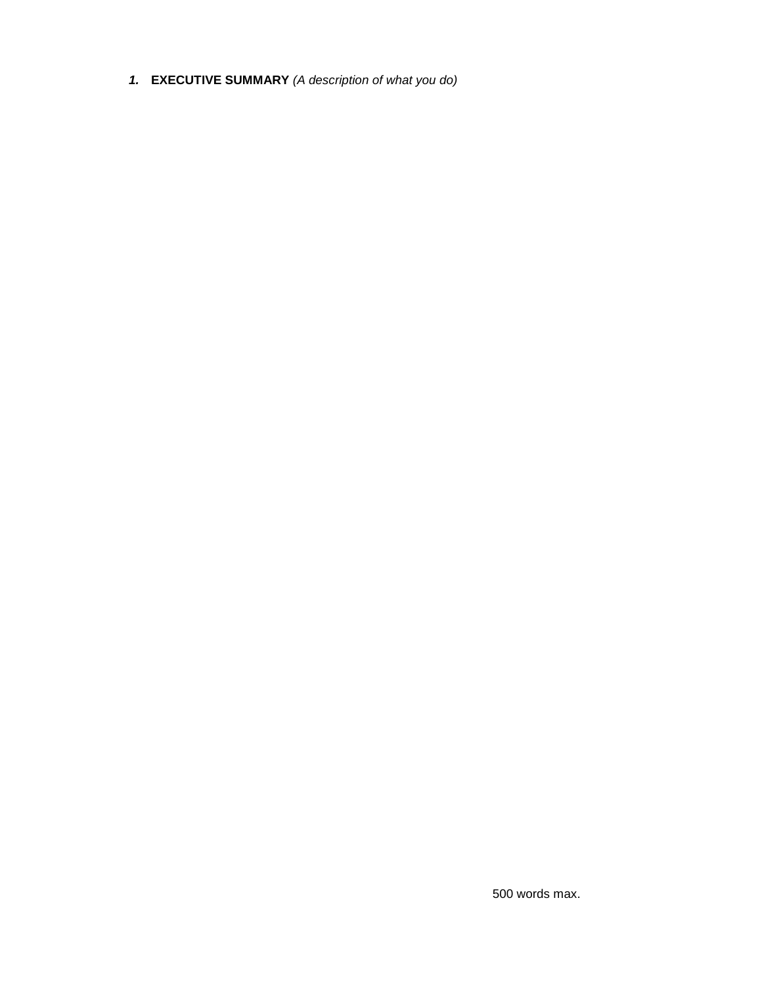*1.* **EXECUTIVE SUMMARY** *(A description of what you do)*

500 words max.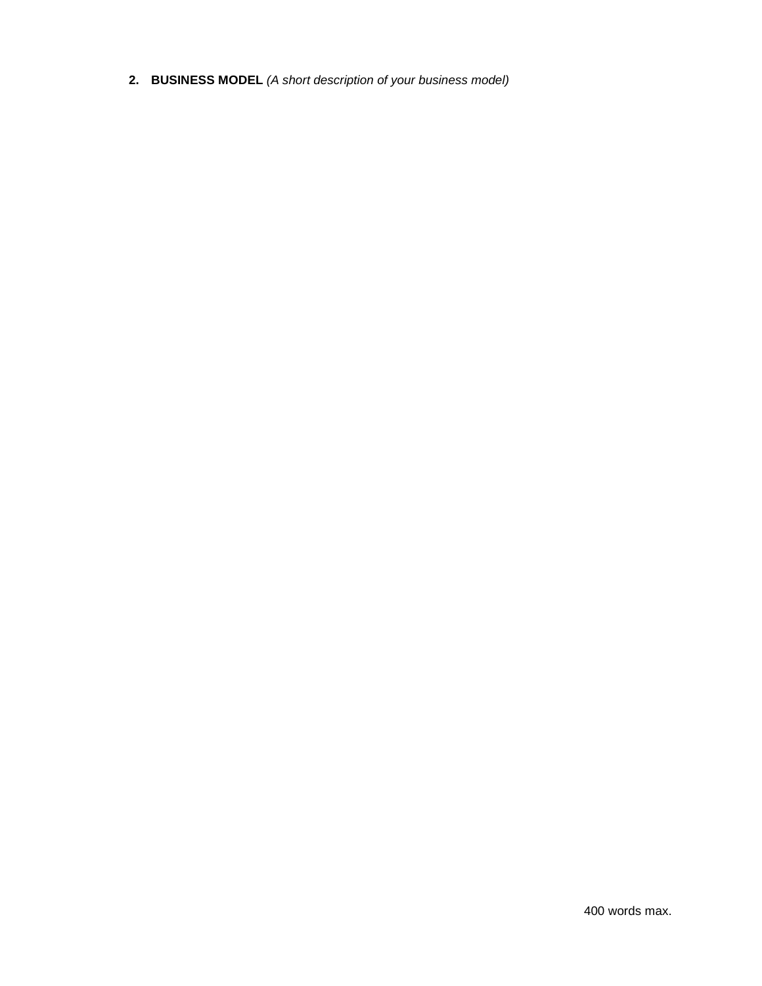**2. BUSINESS MODEL** *(A short description of your business model)*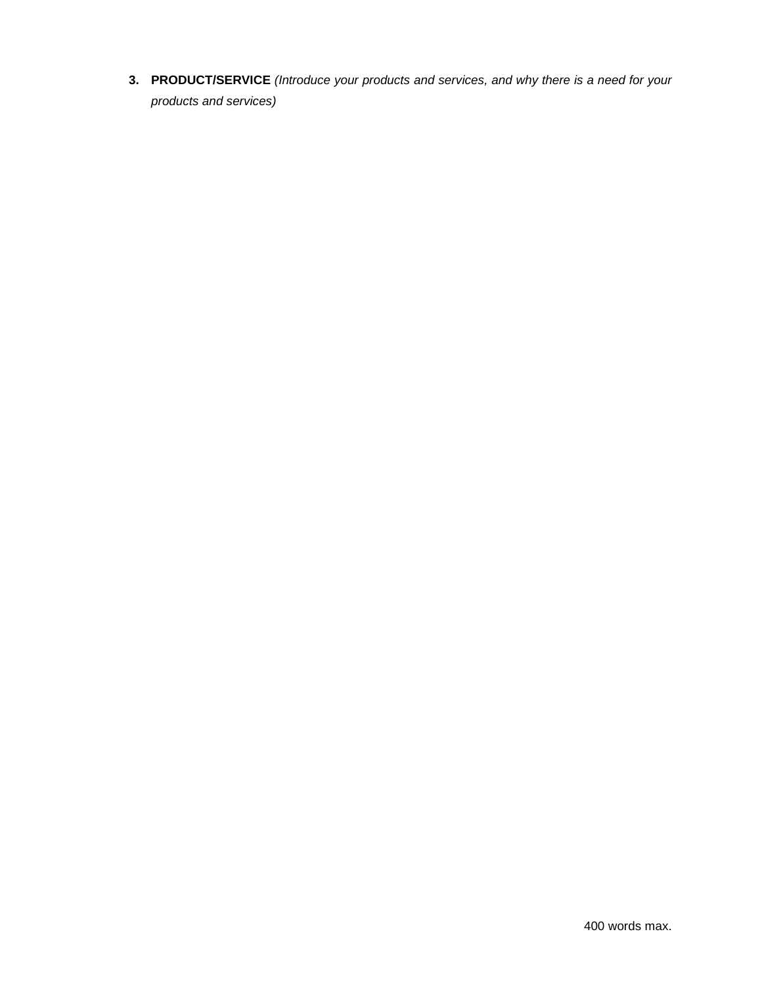**3. PRODUCT/SERVICE** *(Introduce your products and services, and why there is a need for your products and services)*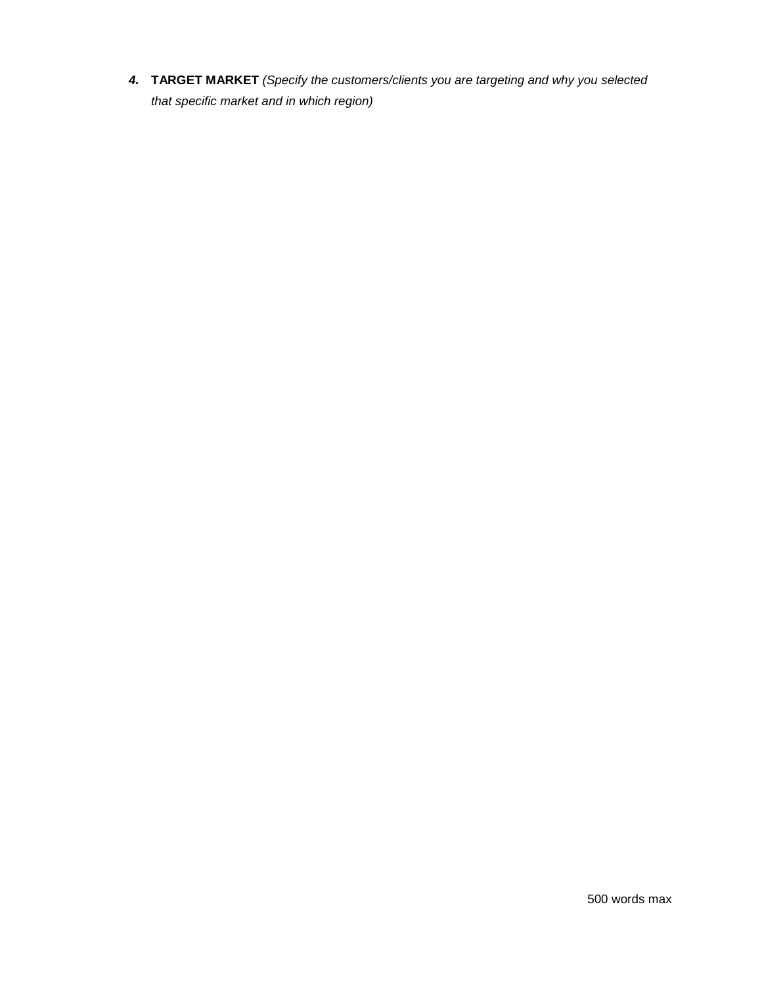*4.* **TARGET MARKET** *(Specify the customers/clients you are targeting and why you selected that specific market and in which region)*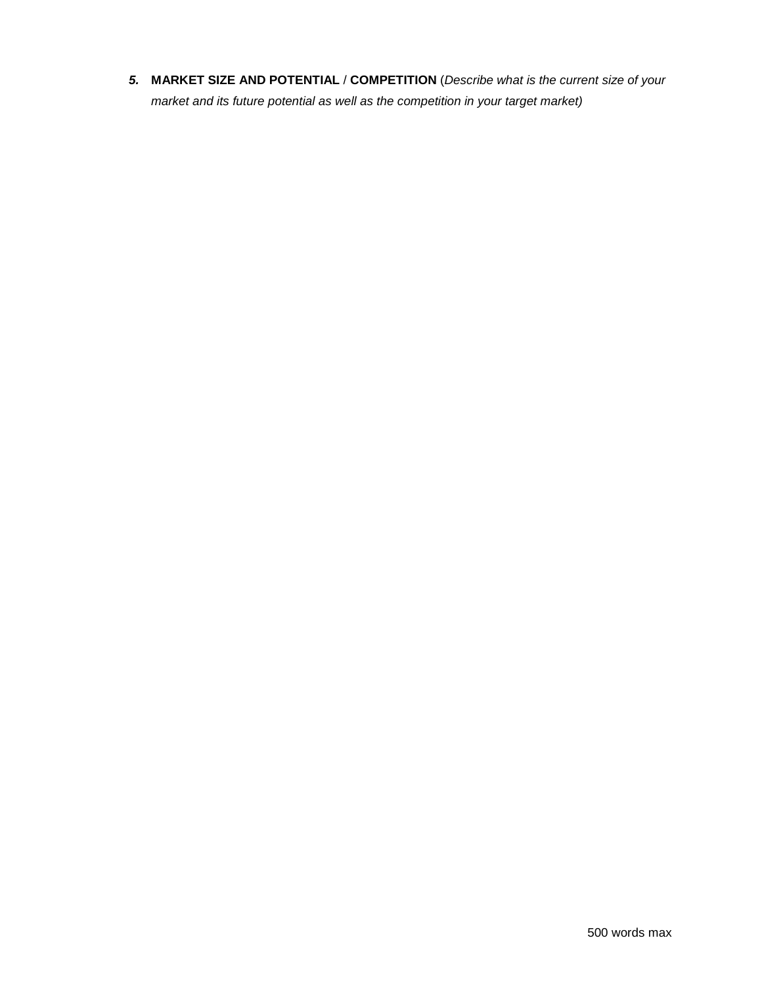*5.* **MARKET SIZE AND POTENTIAL** / **COMPETITION** (*Describe what is the current size of your market and its future potential as well as the competition in your target market)*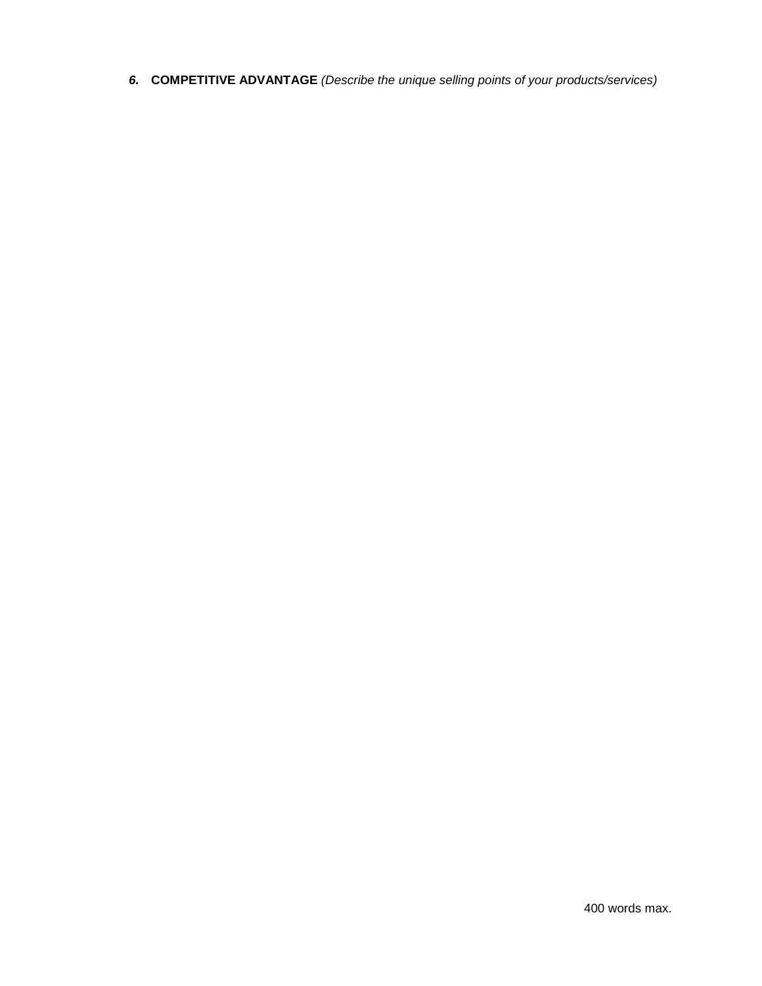*6.* **COMPETITIVE ADVANTAGE** *(Describe the unique selling points of your products/services)*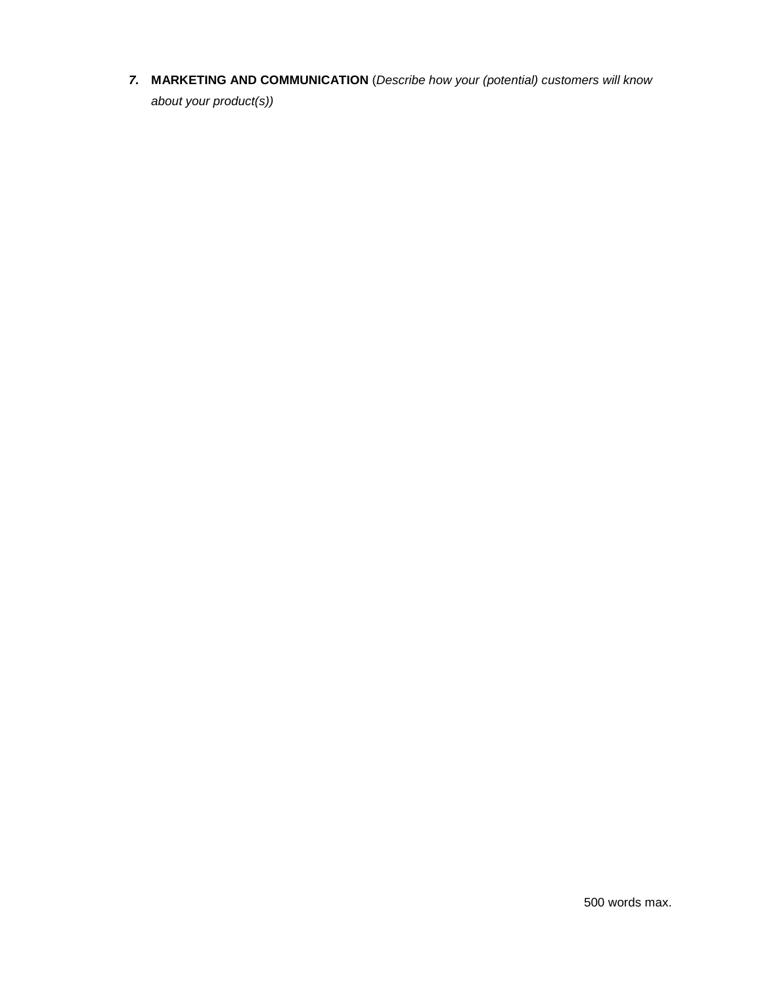*7.* **MARKETING AND COMMUNICATION** (*Describe how your (potential) customers will know about your product(s))*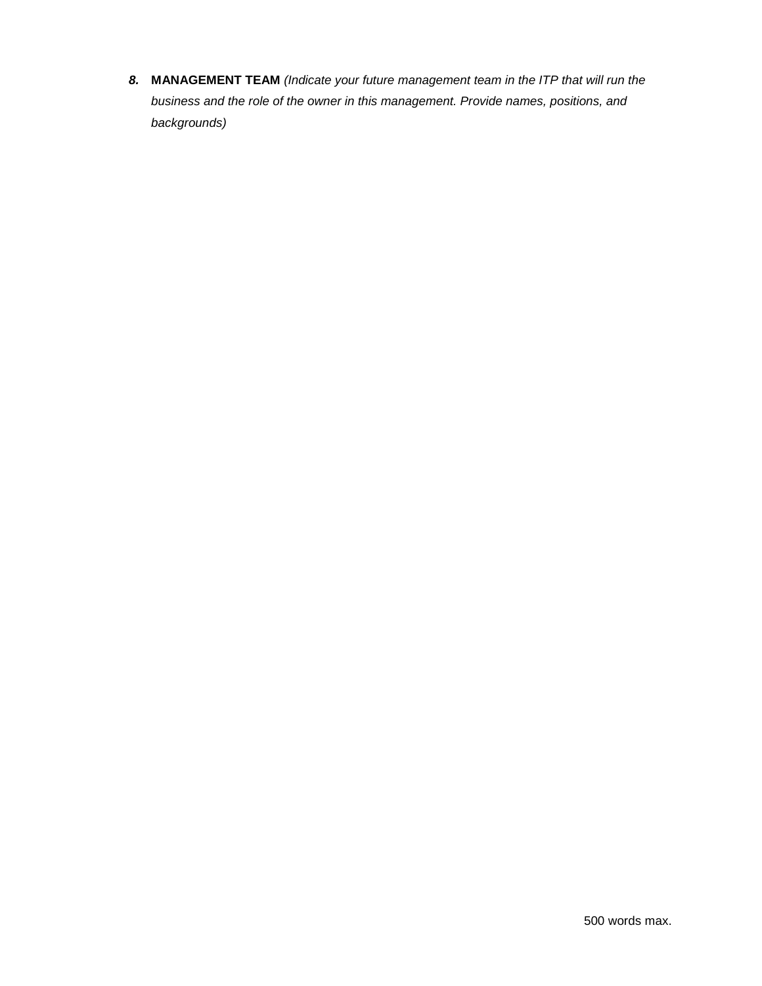*8.* **MANAGEMENT TEAM** *(Indicate your future management team in the ITP that will run the business and the role of the owner in this management. Provide names, positions, and backgrounds)*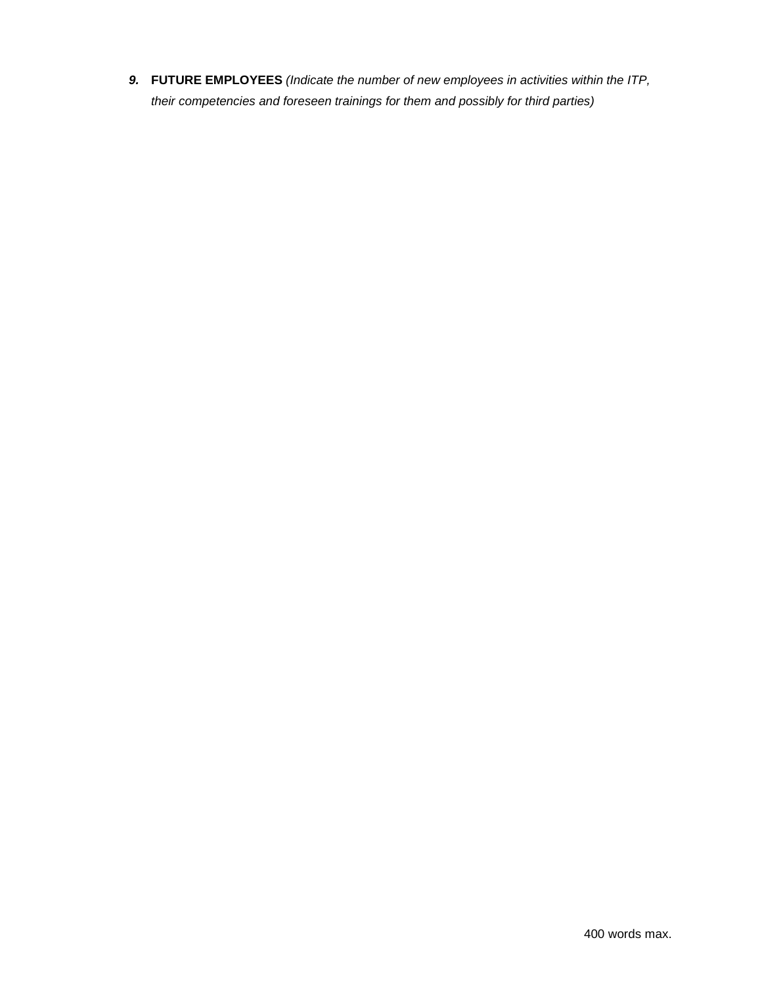*9.* **FUTURE EMPLOYEES** *(Indicate the number of new employees in activities within the ITP, their competencies and foreseen trainings for them and possibly for third parties)*